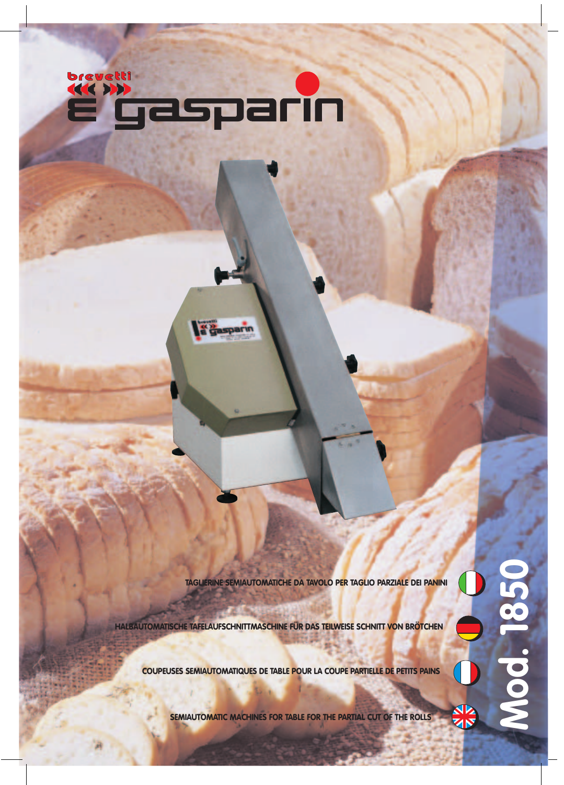

**Pasparin** 

**TAGLIERINE SEMIAUTOMATICHE DA TAVOLO PER TAGLIO PARZIALE DEI PANINI**

**Mod. 1850**

Mod. 185

**HALBAUTOMATISCHE TAFELAUFSCHNITTMASCHINE FÜR DAS TEILWEISE SCHNITT VON BRÖTCHEN**

**COUPEUSES SEMIAUTOMATIQUES DE TABLE POUR LA COUPE PARTIELLE DE PETITS PAINS**

**SEMIAUTOMATIC MACHINES FOR TABLE FOR THE PARTIAL CUT OF THE ROLLS**